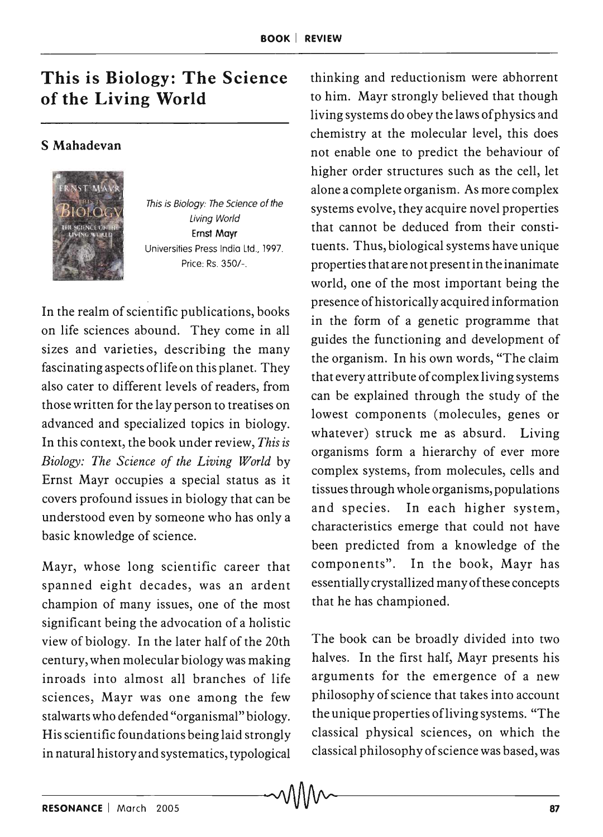## **This is Biology: The Science of the Living World**

## S Mahadevan



This is Biology: The Science of the Living World Ernst Mayr Universities Press India Ltd., 1997. Price: Rs. 350/-.

In the realm of scientific publications, books on life sciences abound. They come in all sizes and varieties, describing the many fascinating aspects oflife on this planet. They also cater to different levels of readers, from those written for the lay person to treatises on advanced and specialized topics in biology. In this context, the book under review, *This* is *Biology: The Science of the Living World* by Ernst Mayr occupies a special status as it covers profound issues in biology that can be understood even by someone who has only a basic knowledge of science.

Mayr, whose long scientific career that spanned eight decades, was an ardent champion of many issues, one of the most significant being the advocation of a holistic view of biology. In the later half of the 20th century, when molecular biology was making inroads into almost all branches of life sciences, Mayr was one among the few stalwarts who defended "organismal" biology. His scientific foundations being laid strongly in natural history and systematics, typological

thinking and reductionism were abhorrent to him. Mayr strongly believed that though living systems do obey the laws of physics and chemistry at the molecular level, this does not enable one to predict the behaviour of higher order structures such as the cell, let alone a complete organism. As more complex systems evolve, they acquire novel properties that cannot be deduced from their constituents. Thus, biological systems have unique properties that are not presen t in the inanimate world, one of the most important being the presence of historically acquired information in the form of a genetic programme that guides the functioning and development of the organism. In his own words, "The claim that every attribute of complex living systems can be explained through the study of the lowest components (molecules, genes or whatever) struck me as absurd. Living organisms form a hierarchy of ever more complex systems, from molecules, cells and tissues through whole organisms, populations and species. In each higher system, characteristics emerge that could not have been predicted from a knowledge of the components". In the book, Mayr has essentially crystallized many of these concepts that he has championed.

The book can be broadly divided into two halves. In the first half, Mayr presents his arguments for the emergence of a new philosophy of science that takes into account the unique properties ofliving systems. "The classical physical sciences, on which the classical philosophy of science was based, was

 $\sim$